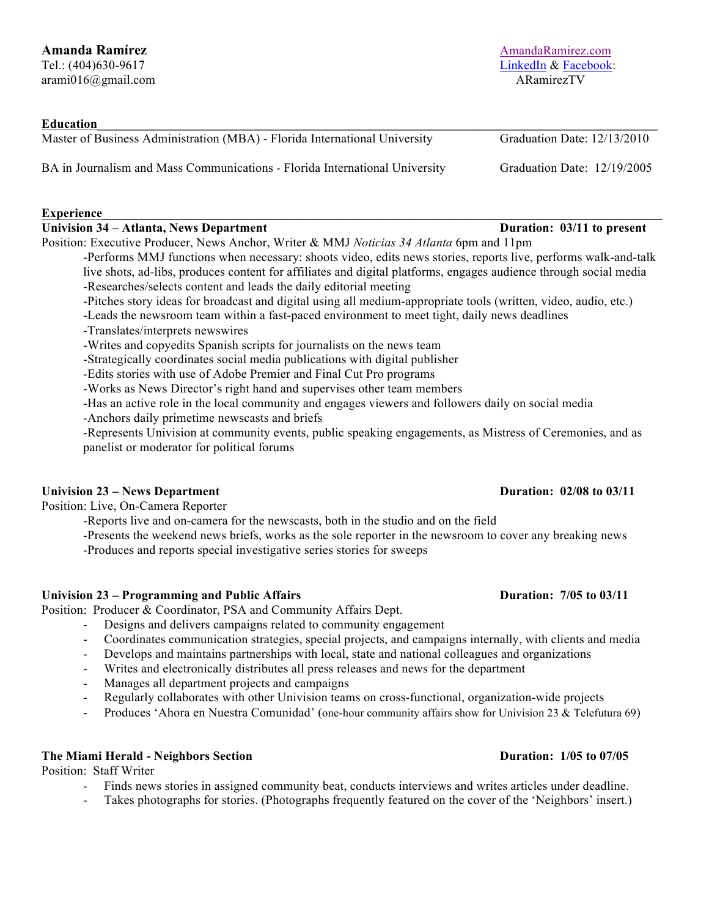| <b>Education</b>                                                                                                  |                             |
|-------------------------------------------------------------------------------------------------------------------|-----------------------------|
| Master of Business Administration (MBA) - Florida International University                                        | Graduation Date: 12/13/2010 |
| BA in Journalism and Mass Communications - Florida International University                                       | Graduation Date: 12/19/2005 |
| <b>Experience</b>                                                                                                 |                             |
| <b>Univision 34 – Atlanta, News Department</b>                                                                    | Duration: 03/11 to present  |
| Position: Executive Producer, News Anchor, Writer & MMJ Noticias 34 Atlanta 6pm and 11pm                          |                             |
| -Performs MMJ functions when necessary: shoots video, edits news stories, reports live, performs walk-and-talk    |                             |
| live shots, ad-libs, produces content for affiliates and digital platforms, engages audience through social media |                             |
| -Researches/selects content and leads the daily editorial meeting                                                 |                             |
| -Pitches story ideas for broadcast and digital using all medium-appropriate tools (written, video, audio, etc.)   |                             |

- -Leads the newsroom team within a fast-paced environment to meet tight, daily news deadlines
- -Translates/interprets newswires
- -Writes and copyedits Spanish scripts for journalists on the news team
- -Strategically coordinates social media publications with digital publisher

-Edits stories with use of Adobe Premier and Final Cut Pro programs

-Works as News Director's right hand and supervises other team members

-Has an active role in the local community and engages viewers and followers daily on social media

-Anchors daily primetime newscasts and briefs

-Represents Univision at community events, public speaking engagements, as Mistress of Ceremonies, and as panelist or moderator for political forums

## **Univision 23 – News Department Duration: 02/08 to 03/11**

Position: Live, On-Camera Reporter

- -Reports live and on-camera for the newscasts, both in the studio and on the field
- -Presents the weekend news briefs, works as the sole reporter in the newsroom to cover any breaking news
- -Produces and reports special investigative series stories for sweeps

## **Univision 23 – Programming and Public Affairs Duration: 7/05 to 03/11**

Position: Producer & Coordinator, PSA and Community Affairs Dept.

- Designs and delivers campaigns related to community engagement
- Coordinates communication strategies, special projects, and campaigns internally, with clients and media
- Develops and maintains partnerships with local, state and national colleagues and organizations
- Writes and electronically distributes all press releases and news for the department
- Manages all department projects and campaigns
- Regularly collaborates with other Univision teams on cross-functional, organization-wide projects
- Produces 'Ahora en Nuestra Comunidad' (one-hour community affairs show for Univision 23 & Telefutura 69)

## **The Miami Herald - Neighbors Section Duration: 1/05 to 07/05**

Position: Staff Writer

- Finds news stories in assigned community beat, conducts interviews and writes articles under deadline.
- Takes photographs for stories. (Photographs frequently featured on the cover of the 'Neighbors' insert.)

# **Amanda Ramírez** AmandaRamirez.com

Tel.: (404)630-9617 **LinkedIn & Facebook:** arami016@gmail.com ARamirezTV